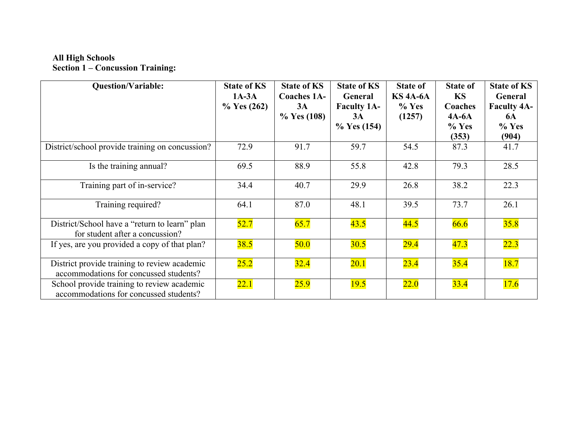# **All High Schools Section 1 – Concussion Training:**

| <b>Question/Variable:</b>                                                              | <b>State of KS</b><br>$1A-3A$<br>% Yes $(262)$ | <b>State of KS</b><br><b>Coaches 1A-</b><br>3A<br>$\%$ Yes (108) | <b>State of KS</b><br>General<br><b>Faculty 1A-</b><br>3A<br>$\%$ Yes (154) | <b>State of</b><br><b>KS 4A-6A</b><br>$%$ Yes<br>(1257) | <b>State of</b><br><b>KS</b><br>Coaches<br>$4A-6A$<br>$%$ Yes<br>(353) | <b>State of KS</b><br>General<br><b>Faculty 4A-</b><br><b>6A</b><br>$%$ Yes<br>(904) |
|----------------------------------------------------------------------------------------|------------------------------------------------|------------------------------------------------------------------|-----------------------------------------------------------------------------|---------------------------------------------------------|------------------------------------------------------------------------|--------------------------------------------------------------------------------------|
| District/school provide training on concussion?                                        | 72.9                                           | 91.7                                                             | 59.7                                                                        | 54.5                                                    | 87.3                                                                   | 41.7                                                                                 |
| Is the training annual?                                                                | 69.5                                           | 88.9                                                             | 55.8                                                                        | 42.8                                                    | 79.3                                                                   | 28.5                                                                                 |
| Training part of in-service?                                                           | 34.4                                           | 40.7                                                             | 29.9                                                                        | 26.8                                                    | 38.2                                                                   | 22.3                                                                                 |
| Training required?                                                                     | 64.1                                           | 87.0                                                             | 48.1                                                                        | 39.5                                                    | 73.7                                                                   | 26.1                                                                                 |
| District/School have a "return to learn" plan<br>for student after a concussion?       | 52.7                                           | 65.7                                                             | 43.5                                                                        | 44.5                                                    | 66.6                                                                   | 35.8                                                                                 |
| If yes, are you provided a copy of that plan?                                          | 38.5                                           | 50.0                                                             | 30.5                                                                        | 29.4                                                    | 47.3                                                                   | 22.3                                                                                 |
| District provide training to review academic<br>accommodations for concussed students? | 25.2                                           | 32.4                                                             | 20.1                                                                        | 23.4                                                    | 35.4                                                                   | 18.7                                                                                 |
| School provide training to review academic<br>accommodations for concussed students?   | 22.1                                           | 25.9                                                             | 19.5                                                                        | 22.0                                                    | 33.4                                                                   | 17.6                                                                                 |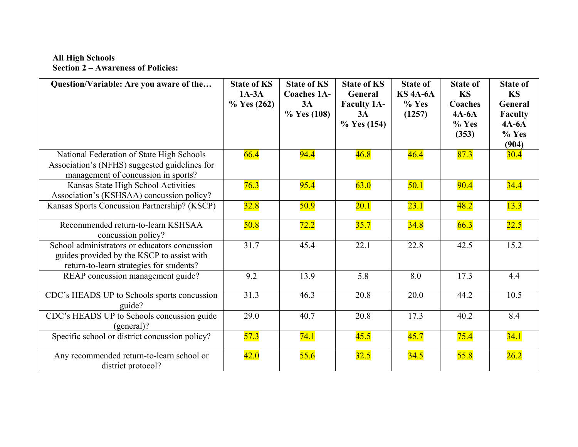**All High Schools Section 2 – Awareness of Policies:** 

| Question/Variable: Are you aware of the                                                                                                 | <b>State of KS</b><br>$1A-3A$<br>$\%$ Yes (262) | <b>State of KS</b><br><b>Coaches 1A-</b><br>3A<br>$\%$ Yes (108) | <b>State of KS</b><br>General<br><b>Faculty 1A-</b><br>3A<br>$\%$ Yes (154) | <b>State of</b><br><b>KS 4A-6A</b><br>$%$ Yes<br>(1257) | <b>State of</b><br><b>KS</b><br><b>Coaches</b><br>$4A-6A$<br>$%$ Yes<br>(353) | <b>State of</b><br><b>KS</b><br><b>General</b><br><b>Faculty</b><br>$4A-6A$<br>$%$ Yes<br>(904) |
|-----------------------------------------------------------------------------------------------------------------------------------------|-------------------------------------------------|------------------------------------------------------------------|-----------------------------------------------------------------------------|---------------------------------------------------------|-------------------------------------------------------------------------------|-------------------------------------------------------------------------------------------------|
| National Federation of State High Schools<br>Association's (NFHS) suggested guidelines for<br>management of concussion in sports?       | 66.4                                            | <b>94.4</b>                                                      | 46.8                                                                        | 46.4                                                    | 87.3                                                                          | 30.4                                                                                            |
| Kansas State High School Activities<br>Association's (KSHSAA) concussion policy?                                                        | 76.3                                            | 95.4                                                             | 63.0                                                                        | 50.1                                                    | 90.4                                                                          | 34.4                                                                                            |
| Kansas Sports Concussion Partnership? (KSCP)                                                                                            | 32.8                                            | 50.9                                                             | 20.1                                                                        | 23.1                                                    | 48.2                                                                          | <b>13.3</b>                                                                                     |
| Recommended return-to-learn KSHSAA<br>concussion policy?                                                                                | 50.8                                            | 72.2                                                             | 35.7                                                                        | 34.8                                                    | 66.3                                                                          | 22.5                                                                                            |
| School administrators or educators concussion<br>guides provided by the KSCP to assist with<br>return-to-learn strategies for students? | 31.7                                            | 45.4                                                             | 22.1                                                                        | 22.8                                                    | 42.5                                                                          | 15.2                                                                                            |
| REAP concussion management guide?                                                                                                       | 9.2                                             | 13.9                                                             | 5.8                                                                         | 8.0                                                     | 17.3                                                                          | 4.4                                                                                             |
| CDC's HEADS UP to Schools sports concussion<br>guide?                                                                                   | 31.3                                            | 46.3                                                             | 20.8                                                                        | 20.0                                                    | 44.2                                                                          | 10.5                                                                                            |
| CDC's HEADS UP to Schools concussion guide<br>(general)?                                                                                | 29.0                                            | 40.7                                                             | 20.8                                                                        | 17.3                                                    | 40.2                                                                          | 8.4                                                                                             |
| Specific school or district concussion policy?                                                                                          | 57.3                                            | 74.1                                                             | 45.5                                                                        | 45.7                                                    | 75.4                                                                          | 34.1                                                                                            |
| Any recommended return-to-learn school or<br>district protocol?                                                                         | 42.0                                            | 55.6                                                             | 32.5                                                                        | 34.5                                                    | 55.8                                                                          | 26.2                                                                                            |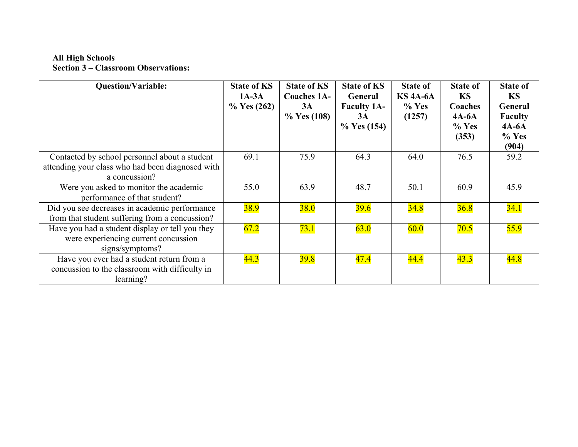# **All High Schools Section 3 – Classroom Observations:**

| <b>Question/Variable:</b>                                                                                          | <b>State of KS</b><br>$1A-3A$<br>$\%$ Yes (262) | <b>State of KS</b><br><b>Coaches 1A-</b><br>3A<br>$\%$ Yes (108) | <b>State of KS</b><br>General<br><b>Faculty 1A-</b><br>3A<br>$\%$ Yes (154) | <b>State of</b><br><b>KS 4A-6A</b><br>$%$ Yes<br>(1257) | <b>State of</b><br><b>KS</b><br>Coaches<br>$4A-6A$<br>$%$ Yes<br>(353) | <b>State of</b><br><b>KS</b><br>General<br><b>Faculty</b><br>$4A-6A$<br>$%$ Yes<br>(904) |
|--------------------------------------------------------------------------------------------------------------------|-------------------------------------------------|------------------------------------------------------------------|-----------------------------------------------------------------------------|---------------------------------------------------------|------------------------------------------------------------------------|------------------------------------------------------------------------------------------|
| Contacted by school personnel about a student<br>attending your class who had been diagnosed with<br>a concussion? | 69.1                                            | 75.9                                                             | 64.3                                                                        | 64.0                                                    | 76.5                                                                   | 59.2                                                                                     |
| Were you asked to monitor the academic<br>performance of that student?                                             | 55.0                                            | 63.9                                                             | 48.7                                                                        | 50.1                                                    | 60.9                                                                   | 45.9                                                                                     |
| Did you see decreases in academic performance<br>from that student suffering from a concussion?                    | 38.9                                            | 38.0                                                             | 39.6                                                                        | 34.8                                                    | 36.8                                                                   | 34.1                                                                                     |
| Have you had a student display or tell you they<br>were experiencing current concussion<br>signs/symptoms?         | 67.2                                            | 73.1                                                             | 63.0                                                                        | 60.0                                                    | 70.5                                                                   | 55.9                                                                                     |
| Have you ever had a student return from a<br>concussion to the classroom with difficulty in<br>learning?           | 44.3                                            | 39.8                                                             | 47.4                                                                        | 44.4                                                    | 43.3                                                                   | 44.8                                                                                     |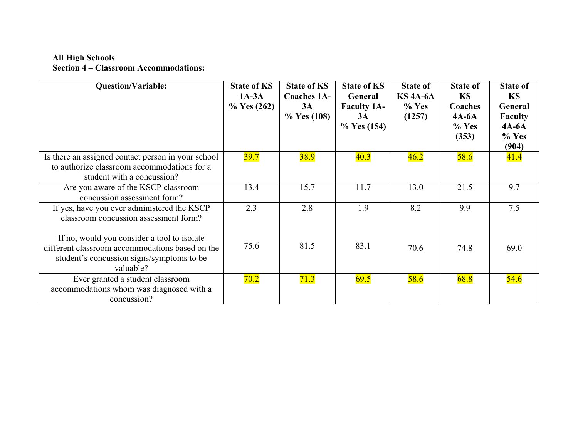# **All High Schools Section 4 – Classroom Accommodations:**

| <b>Question/Variable:</b>                                                                                                                                | <b>State of KS</b><br>$1A-3A$<br>$\%$ Yes (262) | <b>State of KS</b><br><b>Coaches 1A-</b><br>3A<br>$\%$ Yes (108) | <b>State of KS</b><br>General<br><b>Faculty 1A-</b><br>3A<br>$\%$ Yes (154) | <b>State of</b><br><b>KS 4A-6A</b><br>$%$ Yes<br>(1257) | <b>State of</b><br><b>KS</b><br>Coaches<br>$4A-6A$<br>$%$ Yes<br>(353) | <b>State of</b><br><b>KS</b><br>General<br><b>Faculty</b><br>$4A-6A$<br>$%$ Yes<br>(904) |
|----------------------------------------------------------------------------------------------------------------------------------------------------------|-------------------------------------------------|------------------------------------------------------------------|-----------------------------------------------------------------------------|---------------------------------------------------------|------------------------------------------------------------------------|------------------------------------------------------------------------------------------|
| Is there an assigned contact person in your school<br>to authorize classroom accommodations for a<br>student with a concussion?                          | 39.7                                            | <b>38.9</b>                                                      | 40.3                                                                        | 46.2                                                    | 58.6                                                                   | 41.4                                                                                     |
| Are you aware of the KSCP classroom<br>concussion assessment form?                                                                                       | 13.4                                            | 15.7                                                             | 11.7                                                                        | 13.0                                                    | 21.5                                                                   | 9.7                                                                                      |
| If yes, have you ever administered the KSCP<br>classroom concussion assessment form?                                                                     | 2.3                                             | 2.8                                                              | 1.9                                                                         | 8.2                                                     | 9.9                                                                    | 7.5                                                                                      |
| If no, would you consider a tool to isolate<br>different classroom accommodations based on the<br>student's concussion signs/symptoms to be<br>valuable? | 75.6                                            | 81.5                                                             | 83.1                                                                        | 70.6                                                    | 74.8                                                                   | 69.0                                                                                     |
| Ever granted a student classroom<br>accommodations whom was diagnosed with a<br>concussion?                                                              | 70.2                                            | 71.3                                                             | 69.5                                                                        | 58.6                                                    | 68.8                                                                   | 54.6                                                                                     |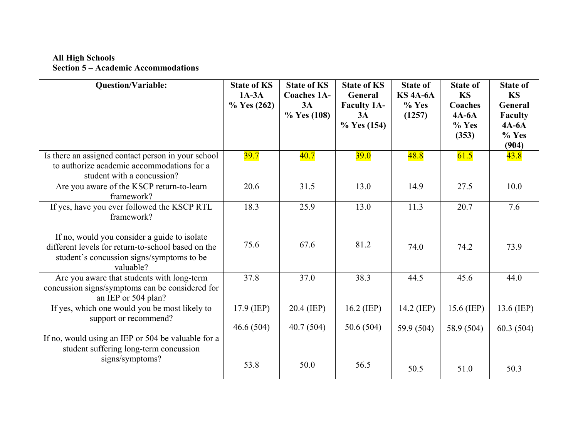# **All High Schools Section 5 – Academic Accommodations**

| <b>Question/Variable:</b>                                                                                                                                    | <b>State of KS</b><br>$1A-3A$<br>$\%$ Yes (262) | <b>State of KS</b><br><b>Coaches 1A-</b><br>3A<br>$\%$ Yes (108) | <b>State of KS</b><br>General<br><b>Faculty 1A-</b><br>3A<br>$\%$ Yes (154) | <b>State of</b><br><b>KS 4A-6A</b><br>$%$ Yes<br>(1257) | <b>State of</b><br><b>KS</b><br>Coaches<br>$4A-6A$<br>$%$ Yes<br>(353) | <b>State of</b><br><b>KS</b><br>General<br><b>Faculty</b><br>$4A-6A$<br>$%$ Yes<br>(904) |
|--------------------------------------------------------------------------------------------------------------------------------------------------------------|-------------------------------------------------|------------------------------------------------------------------|-----------------------------------------------------------------------------|---------------------------------------------------------|------------------------------------------------------------------------|------------------------------------------------------------------------------------------|
| Is there an assigned contact person in your school<br>to authorize academic accommodations for a<br>student with a concussion?                               | 39.7                                            | 40.7                                                             | 39.0                                                                        | 48.8                                                    | 61.5                                                                   | 43.8                                                                                     |
| Are you aware of the KSCP return-to-learn<br>framework?                                                                                                      | 20.6                                            | 31.5                                                             | 13.0                                                                        | 14.9                                                    | 27.5                                                                   | 10.0                                                                                     |
| If yes, have you ever followed the KSCP RTL<br>framework?                                                                                                    | 18.3                                            | 25.9                                                             | 13.0                                                                        | 11.3                                                    | 20.7                                                                   | 7.6                                                                                      |
| If no, would you consider a guide to isolate<br>different levels for return-to-school based on the<br>student's concussion signs/symptoms to be<br>valuable? | 75.6                                            | 67.6                                                             | 81.2                                                                        | 74.0                                                    | 74.2                                                                   | 73.9                                                                                     |
| Are you aware that students with long-term<br>concussion signs/symptoms can be considered for<br>an IEP or 504 plan?                                         | 37.8                                            | 37.0                                                             | 38.3                                                                        | 44.5                                                    | 45.6                                                                   | 44.0                                                                                     |
| If yes, which one would you be most likely to                                                                                                                | 17.9 (IEP)                                      | 20.4 (IEP)                                                       | 16.2 (IEP)                                                                  | 14.2 (IEP)                                              | 15.6 (IEP)                                                             | 13.6 (IEP)                                                                               |
| support or recommend?<br>If no, would using an IEP or 504 be valuable for a<br>student suffering long-term concussion                                        | 46.6(504)                                       | 40.7(504)                                                        | 50.6(504)                                                                   | 59.9 (504)                                              | 58.9 (504)                                                             | 60.3(504)                                                                                |
| signs/symptoms?                                                                                                                                              | 53.8                                            | 50.0                                                             | 56.5                                                                        | 50.5                                                    | 51.0                                                                   | 50.3                                                                                     |